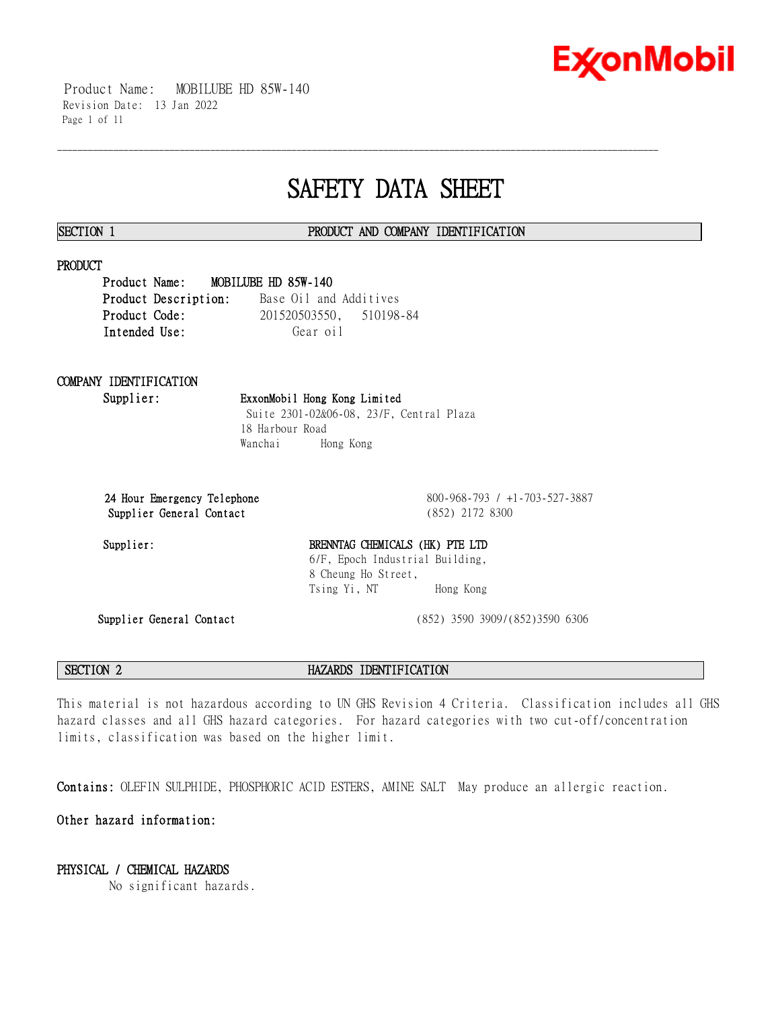

 Product Name: MOBILUBE HD 85W-140 Revision Date: 13 Jan 2022 Page 1 of 11

# **SAFETY DATA SHEET**

\_\_\_\_\_\_\_\_\_\_\_\_\_\_\_\_\_\_\_\_\_\_\_\_\_\_\_\_\_\_\_\_\_\_\_\_\_\_\_\_\_\_\_\_\_\_\_\_\_\_\_\_\_\_\_\_\_\_\_\_\_\_\_\_\_\_\_\_\_\_\_\_\_\_\_\_\_\_\_\_\_\_\_\_\_\_\_\_\_\_\_\_\_\_\_\_\_\_\_\_\_\_\_\_\_\_\_\_\_\_\_\_\_\_\_\_\_\_

#### **SECTION 1 PRODUCT AND COMPANY IDENTIFICATION**

#### **PRODUCT**

**Product Name: MOBILUBE HD 85W-140 Product Description:** Base Oil and Additives **Product Code:** 201520503550, 510198-84 Intended Use: Gear oil

## **COMPANY IDENTIFICATION**

**Supplier: ExxonMobil Hong Kong Limited** Suite 2301-02&06-08, 23/F, Central Plaza 18 Harbour Road Wanchai Hong Kong

**Supplier General Contact** (852) 2172 8300

**24 Hour Emergency Telephone** 800-968-793 / +1-703-527-3887

### Supplier: BRENNTAG CHEMICALS (HK) PTE LTD 6/F, Epoch Industrial Building, 8 Cheung Ho Street, Tsing Yi, NT Hong Kong

**Supplier General Contact** (852) 3590 3909/(852)3590 6306

**SECTION 2 HAZARDS IDENTIFICATION**

This material is not hazardous according to UN GHS Revision 4 Criteria. Classification includes all GHS hazard classes and all GHS hazard categories. For hazard categories with two cut-off/concentration limits, classification was based on the higher limit.

**Contains:** OLEFIN SULPHIDE, PHOSPHORIC ACID ESTERS, AMINE SALT May produce an allergic reaction.

**Other hazard information:**

### **PHYSICAL / CHEMICAL HAZARDS**

No significant hazards.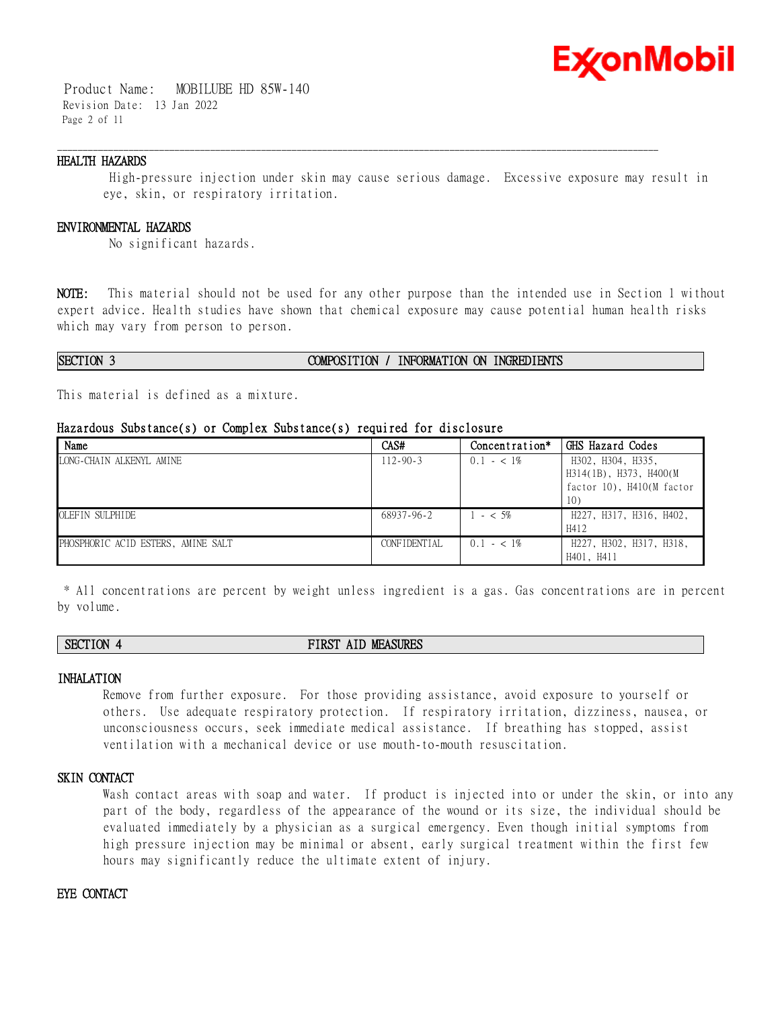

 Product Name: MOBILUBE HD 85W-140 Revision Date: 13 Jan 2022 Page 2 of 11

#### **HEALTH HAZARDS**

High-pressure injection under skin may cause serious damage. Excessive exposure may result in eye, skin, or respiratory irritation.

\_\_\_\_\_\_\_\_\_\_\_\_\_\_\_\_\_\_\_\_\_\_\_\_\_\_\_\_\_\_\_\_\_\_\_\_\_\_\_\_\_\_\_\_\_\_\_\_\_\_\_\_\_\_\_\_\_\_\_\_\_\_\_\_\_\_\_\_\_\_\_\_\_\_\_\_\_\_\_\_\_\_\_\_\_\_\_\_\_\_\_\_\_\_\_\_\_\_\_\_\_\_\_\_\_\_\_\_\_\_\_\_\_\_\_\_\_\_

#### **ENVIRONMENTAL HAZARDS**

No significant hazards.

**NOTE:** This material should not be used for any other purpose than the intended use in Section 1 without expert advice. Health studies have shown that chemical exposure may cause potential human health risks which may vary from person to person.

#### **SECTION 3 COMPOSITION / INFORMATION ON INGREDIENTS**

This material is defined as a mixture.

#### **Hazardous Substance(s) or Complex Substance(s) required for disclosure**

| Name                               | CAS#           | Concentration* | GHS Hazard Codes                                                                 |
|------------------------------------|----------------|----------------|----------------------------------------------------------------------------------|
| LONG-CHAIN ALKENYL AMINE           | $112 - 90 - 3$ | $0.1 - < 1\%$  | H302, H304, H335,<br>H314(1B), H373, H400(M)<br>factor 10), H410(M factor<br>10) |
| OLEFIN SULPHIDE                    | 68937-96-2     | $1 - 5\%$      | H227, H317, H316, H402,<br>H412                                                  |
| PHOSPHORIC ACID ESTERS, AMINE SALT | CONFIDENTIAL   | $0.1 - < 1\%$  | H227, H302, H317, H318,<br>H401, H411                                            |

\* All concentrations are percent by weight unless ingredient is a gas. Gas concentrations are in percent by volume.

#### **SECTION 4 FIRST AID MEASURES**

#### **INHALATION**

Remove from further exposure. For those providing assistance, avoid exposure to yourself or others. Use adequate respiratory protection. If respiratory irritation, dizziness, nausea, or unconsciousness occurs, seek immediate medical assistance. If breathing has stopped, assist ventilation with a mechanical device or use mouth-to-mouth resuscitation.

#### **SKIN CONTACT**

Wash contact areas with soap and water. If product is injected into or under the skin, or into any part of the body, regardless of the appearance of the wound or its size, the individual should be evaluated immediately by a physician as a surgical emergency. Even though initial symptoms from high pressure injection may be minimal or absent, early surgical treatment within the first few hours may significantly reduce the ultimate extent of injury.

### **EYE CONTACT**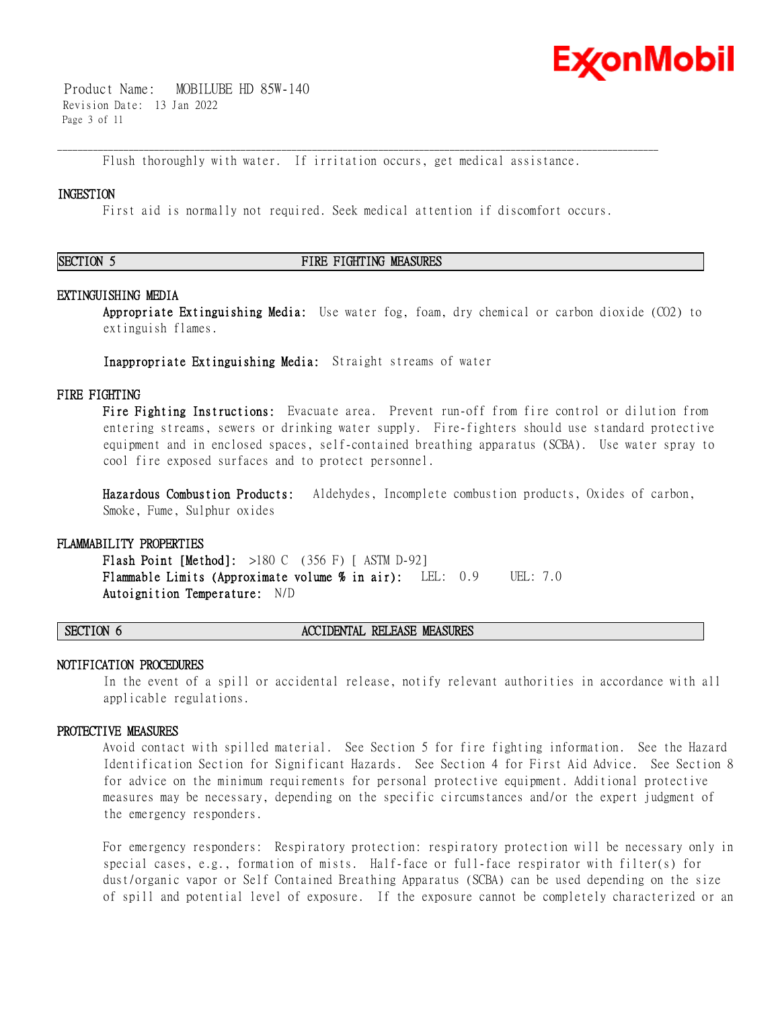

 Product Name: MOBILUBE HD 85W-140 Revision Date: 13 Jan 2022 Page 3 of 11

Flush thoroughly with water. If irritation occurs, get medical assistance.

\_\_\_\_\_\_\_\_\_\_\_\_\_\_\_\_\_\_\_\_\_\_\_\_\_\_\_\_\_\_\_\_\_\_\_\_\_\_\_\_\_\_\_\_\_\_\_\_\_\_\_\_\_\_\_\_\_\_\_\_\_\_\_\_\_\_\_\_\_\_\_\_\_\_\_\_\_\_\_\_\_\_\_\_\_\_\_\_\_\_\_\_\_\_\_\_\_\_\_\_\_\_\_\_\_\_\_\_\_\_\_\_\_\_\_\_\_\_

#### **INGESTION**

First aid is normally not required. Seek medical attention if discomfort occurs.

### **SECTION 5 FIRE FIGHTING MEASURES**

#### **EXTINGUISHING MEDIA**

**Appropriate Extinguishing Media:** Use water fog, foam, dry chemical or carbon dioxide (CO2) to extinguish flames.

**Inappropriate Extinguishing Media:** Straight streams of water

#### **FIRE FIGHTING**

**Fire Fighting Instructions:** Evacuate area. Prevent run-off from fire control or dilution from entering streams, sewers or drinking water supply. Fire-fighters should use standard protective equipment and in enclosed spaces, self-contained breathing apparatus (SCBA). Use water spray to cool fire exposed surfaces and to protect personnel.

**Hazardous Combustion Products:** Aldehydes, Incomplete combustion products, Oxides of carbon, Smoke, Fume, Sulphur oxides

#### **FLAMMABILITY PROPERTIES**

**Flash Point [Method]:** >180 C (356 F) [ ASTM D-92] **Flammable Limits (Approximate volume % in air):** LEL: 0.9 UEL: 7.0 **Autoignition Temperature:** N/D

#### **SECTION 6 ACCIDENTAL RELEASE MEASURES**

### **NOTIFICATION PROCEDURES**

In the event of a spill or accidental release, notify relevant authorities in accordance with all applicable regulations.

#### **PROTECTIVE MEASURES**

Avoid contact with spilled material. See Section 5 for fire fighting information. See the Hazard Identification Section for Significant Hazards. See Section 4 for First Aid Advice. See Section 8 for advice on the minimum requirements for personal protective equipment. Additional protective measures may be necessary, depending on the specific circumstances and/or the expert judgment of the emergency responders.

For emergency responders: Respiratory protection: respiratory protection will be necessary only in special cases, e.g., formation of mists. Half-face or full-face respirator with filter(s) for dust/organic vapor or Self Contained Breathing Apparatus (SCBA) can be used depending on the size of spill and potential level of exposure. If the exposure cannot be completely characterized or an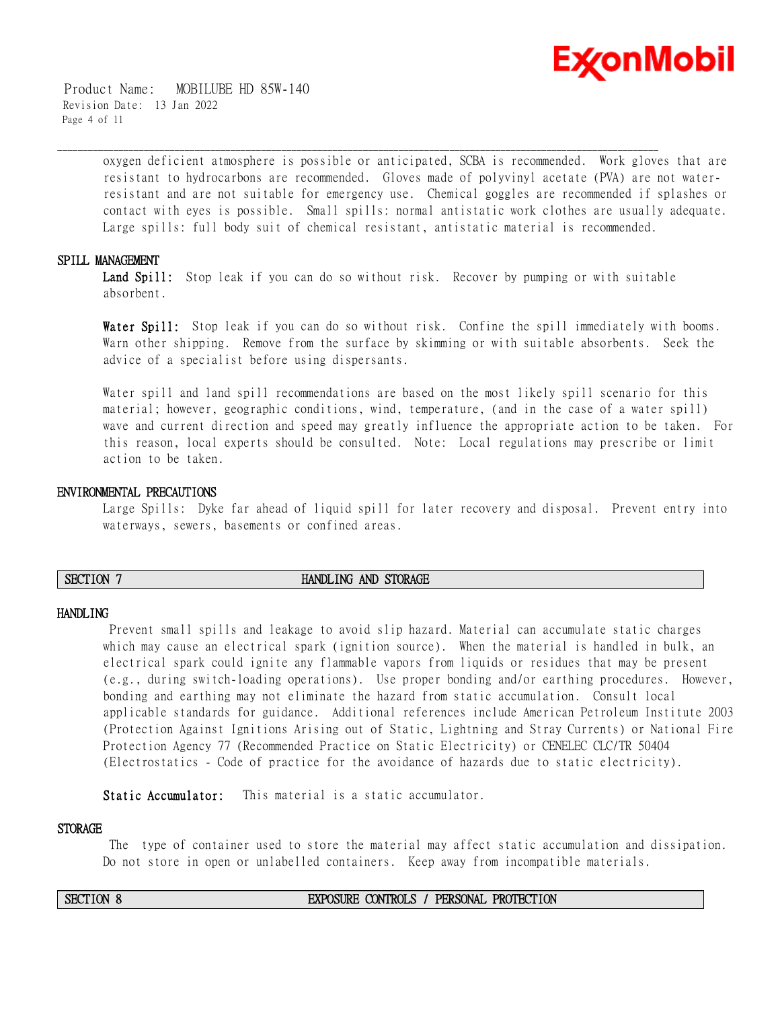

 Product Name: MOBILUBE HD 85W-140 Revision Date: 13 Jan 2022 Page 4 of 11

> oxygen deficient atmosphere is possible or anticipated, SCBA is recommended. Work gloves that are resistant to hydrocarbons are recommended. Gloves made of polyvinyl acetate (PVA) are not waterresistant and are not suitable for emergency use. Chemical goggles are recommended if splashes or contact with eyes is possible. Small spills: normal antistatic work clothes are usually adequate. Large spills: full body suit of chemical resistant, antistatic material is recommended.

### **SPILL MANAGEMENT**

**Land Spill:** Stop leak if you can do so without risk. Recover by pumping or with suitable absorbent.

\_\_\_\_\_\_\_\_\_\_\_\_\_\_\_\_\_\_\_\_\_\_\_\_\_\_\_\_\_\_\_\_\_\_\_\_\_\_\_\_\_\_\_\_\_\_\_\_\_\_\_\_\_\_\_\_\_\_\_\_\_\_\_\_\_\_\_\_\_\_\_\_\_\_\_\_\_\_\_\_\_\_\_\_\_\_\_\_\_\_\_\_\_\_\_\_\_\_\_\_\_\_\_\_\_\_\_\_\_\_\_\_\_\_\_\_\_\_

**Water Spill:** Stop leak if you can do so without risk. Confine the spill immediately with booms. Warn other shipping. Remove from the surface by skimming or with suitable absorbents. Seek the advice of a specialist before using dispersants.

Water spill and land spill recommendations are based on the most likely spill scenario for this material; however, geographic conditions, wind, temperature, (and in the case of a water spill) wave and current direction and speed may greatly influence the appropriate action to be taken. For this reason, local experts should be consulted. Note: Local regulations may prescribe or limit action to be taken.

#### **ENVIRONMENTAL PRECAUTIONS**

Large Spills: Dyke far ahead of liquid spill for later recovery and disposal. Prevent entry into waterways, sewers, basements or confined areas.

#### **SECTION 7 HANDLING AND STORAGE**

#### **HANDLING**

Prevent small spills and leakage to avoid slip hazard. Material can accumulate static charges which may cause an electrical spark (ignition source). When the material is handled in bulk, an electrical spark could ignite any flammable vapors from liquids or residues that may be present (e.g., during switch-loading operations). Use proper bonding and/or earthing procedures. However, bonding and earthing may not eliminate the hazard from static accumulation. Consult local applicable standards for guidance. Additional references include American Petroleum Institute 2003 (Protection Against Ignitions Arising out of Static, Lightning and Stray Currents) or National Fire Protection Agency 77 (Recommended Practice on Static Electricity) or CENELEC CLC/TR 50404 (Electrostatics - Code of practice for the avoidance of hazards due to static electricity).

**Static Accumulator:** This material is a static accumulator.

#### **STORAGE**

The type of container used to store the material may affect static accumulation and dissipation. Do not store in open or unlabelled containers. Keep away from incompatible materials.

### **SECTION 8 EXPOSURE CONTROLS / PERSONAL PROTECTION**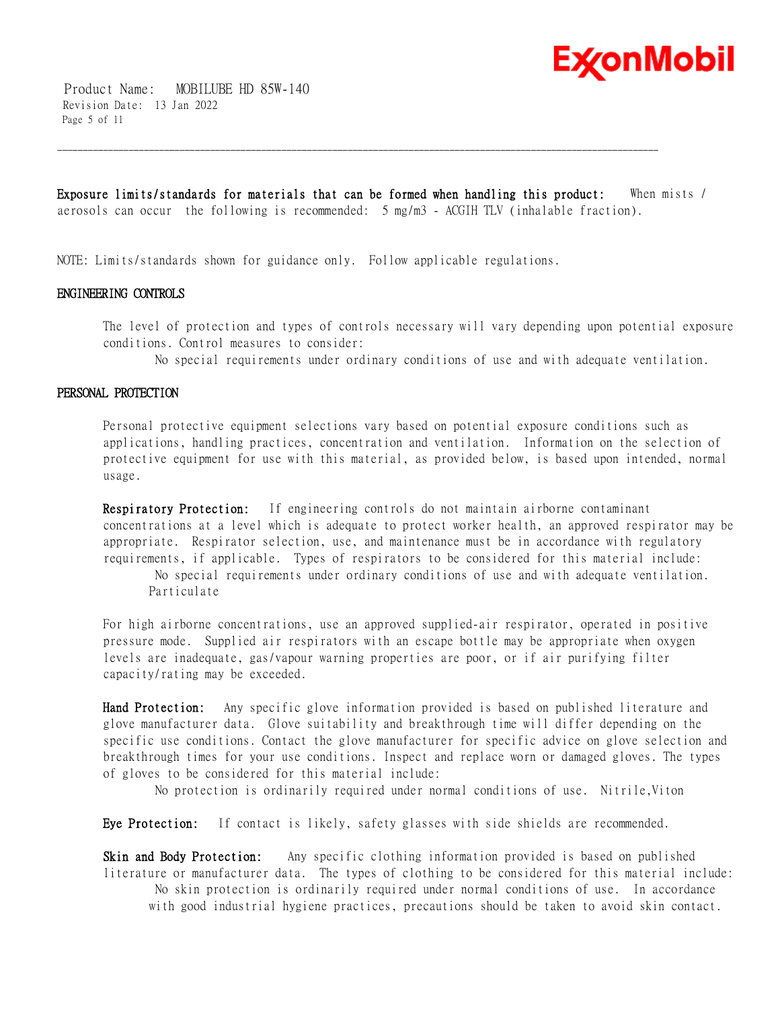

 Product Name: MOBILUBE HD 85W-140 Revision Date: 13 Jan 2022 Page 5 of 11

**Exposure limits/standards for materials that can be formed when handling this product:** When mists / aerosols can occur the following is recommended: 5 mg/m3 - ACGIH TLV (inhalable fraction).

\_\_\_\_\_\_\_\_\_\_\_\_\_\_\_\_\_\_\_\_\_\_\_\_\_\_\_\_\_\_\_\_\_\_\_\_\_\_\_\_\_\_\_\_\_\_\_\_\_\_\_\_\_\_\_\_\_\_\_\_\_\_\_\_\_\_\_\_\_\_\_\_\_\_\_\_\_\_\_\_\_\_\_\_\_\_\_\_\_\_\_\_\_\_\_\_\_\_\_\_\_\_\_\_\_\_\_\_\_\_\_\_\_\_\_\_\_\_

NOTE: Limits/standards shown for guidance only. Follow applicable regulations.

#### **ENGINEERING CONTROLS**

The level of protection and types of controls necessary will vary depending upon potential exposure conditions. Control measures to consider:

No special requirements under ordinary conditions of use and with adequate ventilation.

#### **PERSONAL PROTECTION**

Personal protective equipment selections vary based on potential exposure conditions such as applications, handling practices, concentration and ventilation. Information on the selection of protective equipment for use with this material, as provided below, is based upon intended, normal usage.

**Respiratory Protection:** If engineering controls do not maintain airborne contaminant concentrations at a level which is adequate to protect worker health, an approved respirator may be appropriate. Respirator selection, use, and maintenance must be in accordance with regulatory requirements, if applicable. Types of respirators to be considered for this material include:

No special requirements under ordinary conditions of use and with adequate ventilation. Particulate

For high airborne concentrations, use an approved supplied-air respirator, operated in positive pressure mode. Supplied air respirators with an escape bottle may be appropriate when oxygen levels are inadequate, gas/vapour warning properties are poor, or if air purifying filter capacity/rating may be exceeded.

**Hand Protection:** Any specific glove information provided is based on published literature and glove manufacturer data. Glove suitability and breakthrough time will differ depending on the specific use conditions. Contact the glove manufacturer for specific advice on glove selection and breakthrough times for your use conditions. Inspect and replace worn or damaged gloves. The types of gloves to be considered for this material include:

No protection is ordinarily required under normal conditions of use. Nitrile,Viton

**Eye Protection:** If contact is likely, safety glasses with side shields are recommended.

**Skin and Body Protection:** Any specific clothing information provided is based on published literature or manufacturer data. The types of clothing to be considered for this material include: No skin protection is ordinarily required under normal conditions of use. In accordance with good industrial hygiene practices, precautions should be taken to avoid skin contact.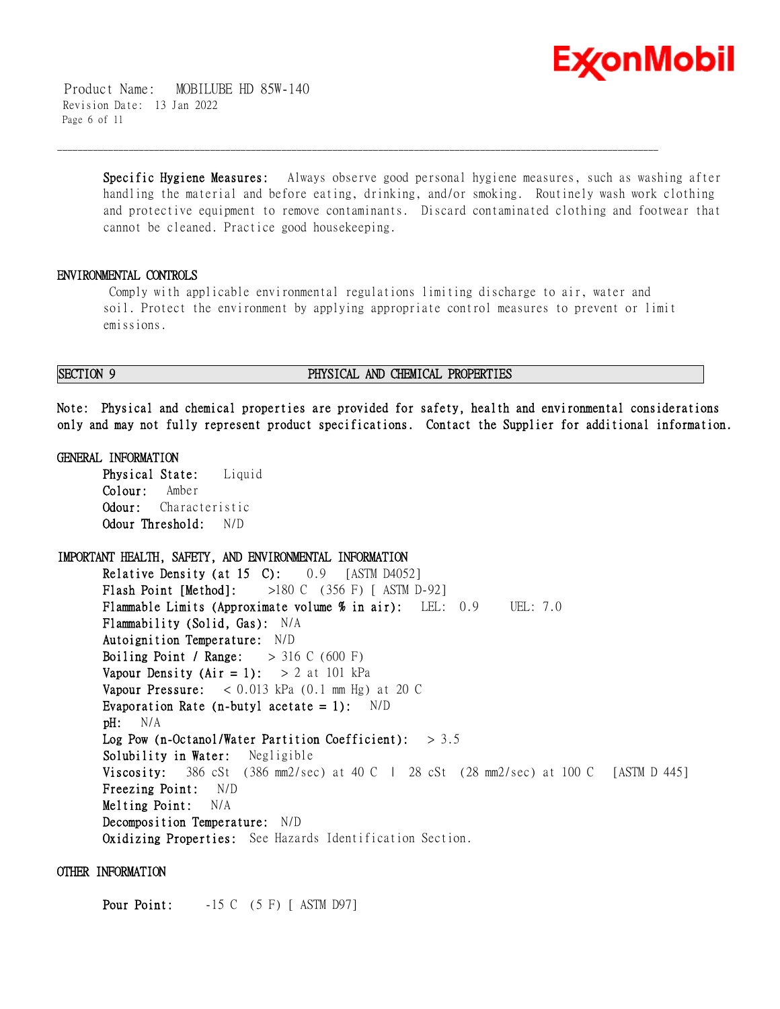

 Product Name: MOBILUBE HD 85W-140 Revision Date: 13 Jan 2022 Page 6 of 11

> **Specific Hygiene Measures:** Always observe good personal hygiene measures, such as washing after handling the material and before eating, drinking, and/or smoking. Routinely wash work clothing and protective equipment to remove contaminants. Discard contaminated clothing and footwear that cannot be cleaned. Practice good housekeeping.

#### **ENVIRONMENTAL CONTROLS**

Comply with applicable environmental regulations limiting discharge to air, water and soil. Protect the environment by applying appropriate control measures to prevent or limit emissions.

\_\_\_\_\_\_\_\_\_\_\_\_\_\_\_\_\_\_\_\_\_\_\_\_\_\_\_\_\_\_\_\_\_\_\_\_\_\_\_\_\_\_\_\_\_\_\_\_\_\_\_\_\_\_\_\_\_\_\_\_\_\_\_\_\_\_\_\_\_\_\_\_\_\_\_\_\_\_\_\_\_\_\_\_\_\_\_\_\_\_\_\_\_\_\_\_\_\_\_\_\_\_\_\_\_\_\_\_\_\_\_\_\_\_\_\_\_\_

#### **SECTION 9 PHYSICAL AND CHEMICAL PROPERTIES**

**Note: Physical and chemical properties are provided for safety, health and environmental considerations only and may not fully represent product specifications. Contact the Supplier for additional information.**

### **GENERAL INFORMATION**

**Physical State:** Liquid **Colour:** Amber **Odour:** Characteristic **Odour Threshold:** N/D

**IMPORTANT HEALTH, SAFETY, AND ENVIRONMENTAL INFORMATION Relative Density (at 15 C):** 0.9 [ASTM D4052] **Flash Point [Method]:** >180 C (356 F) [ ASTM D-92] **Flammable Limits (Approximate volume % in air):** LEL: 0.9 UEL: 7.0 **Flammability (Solid, Gas):** N/A **Autoignition Temperature:** N/D **Boiling Point / Range:** > 316 C (600 F) **Vapour Density (Air = 1):**  $> 2$  at 101 kPa **Vapour Pressure:** < 0.013 kPa (0.1 mm Hg) at 20 C **Evaporation Rate (n-butyl acetate = 1):** N/D **pH:** N/A **Log Pow (n-Octanol/Water Partition Coefficient):** > 3.5 **Solubility in Water:** Negligible **Viscosity:** 386 cSt (386 mm2/sec) at 40 C | 28 cSt (28 mm2/sec) at 100 C [ASTM D 445] **Freezing Point:** N/D **Melting Point:** N/A **Decomposition Temperature:** N/D **Oxidizing Properties:** See Hazards Identification Section.

### **OTHER INFORMATION**

**Pour Point:**  $-15 \text{ C}$  (5 F) [ ASTM D97]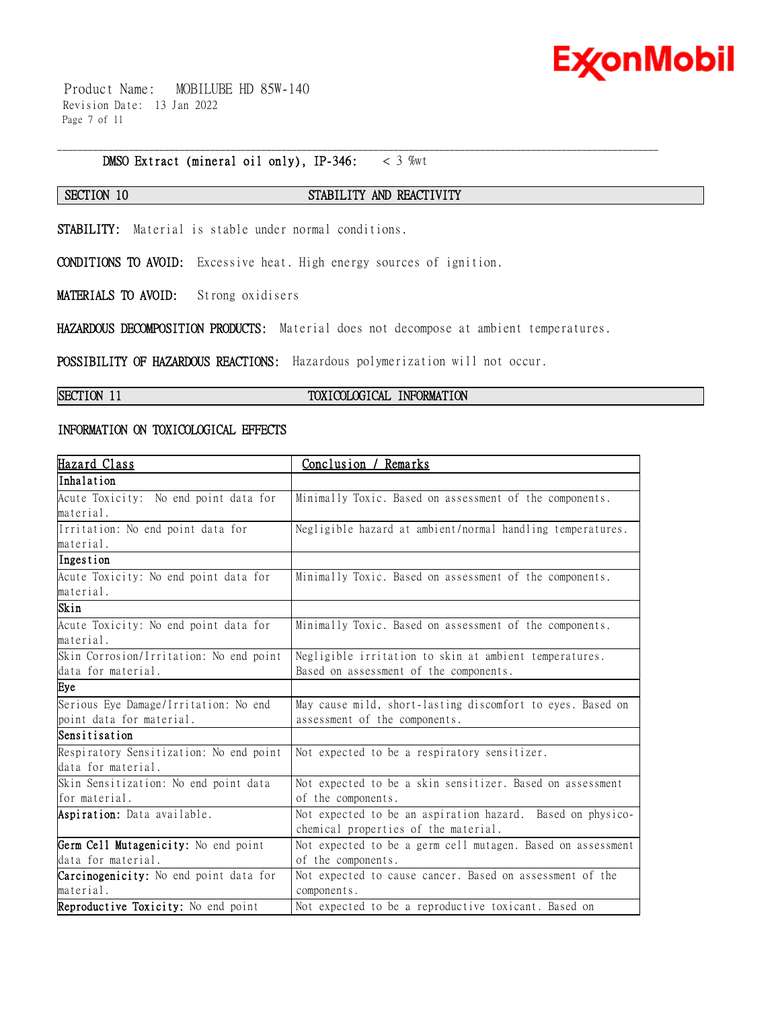

 Product Name: MOBILUBE HD 85W-140 Revision Date: 13 Jan 2022 Page 7 of 11

#### **DMSO Extract (mineral oil only), IP-346:** < 3 %wt

#### **SECTION 10 STABILITY AND REACTIVITY**

\_\_\_\_\_\_\_\_\_\_\_\_\_\_\_\_\_\_\_\_\_\_\_\_\_\_\_\_\_\_\_\_\_\_\_\_\_\_\_\_\_\_\_\_\_\_\_\_\_\_\_\_\_\_\_\_\_\_\_\_\_\_\_\_\_\_\_\_\_\_\_\_\_\_\_\_\_\_\_\_\_\_\_\_\_\_\_\_\_\_\_\_\_\_\_\_\_\_\_\_\_\_\_\_\_\_\_\_\_\_\_\_\_\_\_\_\_\_

**STABILITY:** Material is stable under normal conditions.

**CONDITIONS TO AVOID:** Excessive heat. High energy sources of ignition.

**MATERIALS TO AVOID:** Strong oxidisers

**HAZARDOUS DECOMPOSITION PRODUCTS:** Material does not decompose at ambient temperatures.

**POSSIBILITY OF HAZARDOUS REACTIONS:** Hazardous polymerization will not occur.

### **SECTION 11 TOXICOLOGICAL INFORMATION**

### **INFORMATION ON TOXICOLOGICAL EFFECTS**

| Hazard Class                            | Conclusion / Remarks                                        |
|-----------------------------------------|-------------------------------------------------------------|
| Inhalation                              |                                                             |
| Acute Toxicity: No end point data for   | Minimally Toxic. Based on assessment of the components.     |
| material.                               |                                                             |
| Irritation: No end point data for       | Negligible hazard at ambient/normal handling temperatures.  |
| material.                               |                                                             |
| Ingestion                               |                                                             |
| Acute Toxicity: No end point data for   | Minimally Toxic. Based on assessment of the components.     |
| material.                               |                                                             |
| Skin                                    |                                                             |
| Acute Toxicity: No end point data for   | Minimally Toxic. Based on assessment of the components.     |
| material.                               |                                                             |
| Skin Corrosion/Irritation: No end point | Negligible irritation to skin at ambient temperatures.      |
| data for material.                      | Based on assessment of the components.                      |
| Eye                                     |                                                             |
| Serious Eye Damage/Irritation: No end   | May cause mild, short-lasting discomfort to eyes. Based on  |
| point data for material.                | assessment of the components.                               |
| Sensitisation                           |                                                             |
| Respiratory Sensitization: No end point | Not expected to be a respiratory sensitizer.                |
| data for material.                      |                                                             |
| Skin Sensitization: No end point data   | Not expected to be a skin sensitizer. Based on assessment   |
| for material.                           | of the components.                                          |
| Aspiration: Data available.             | Not expected to be an aspiration hazard. Based on physico-  |
|                                         | chemical properties of the material.                        |
| Germ Cell Mutagenicity: No end point    | Not expected to be a germ cell mutagen. Based on assessment |
| data for material.                      | of the components.                                          |
| Carcinogenicity: No end point data for  | Not expected to cause cancer. Based on assessment of the    |
| material.                               | components.                                                 |
| Reproductive Toxicity: No end point     | Not expected to be a reproductive toxicant. Based on        |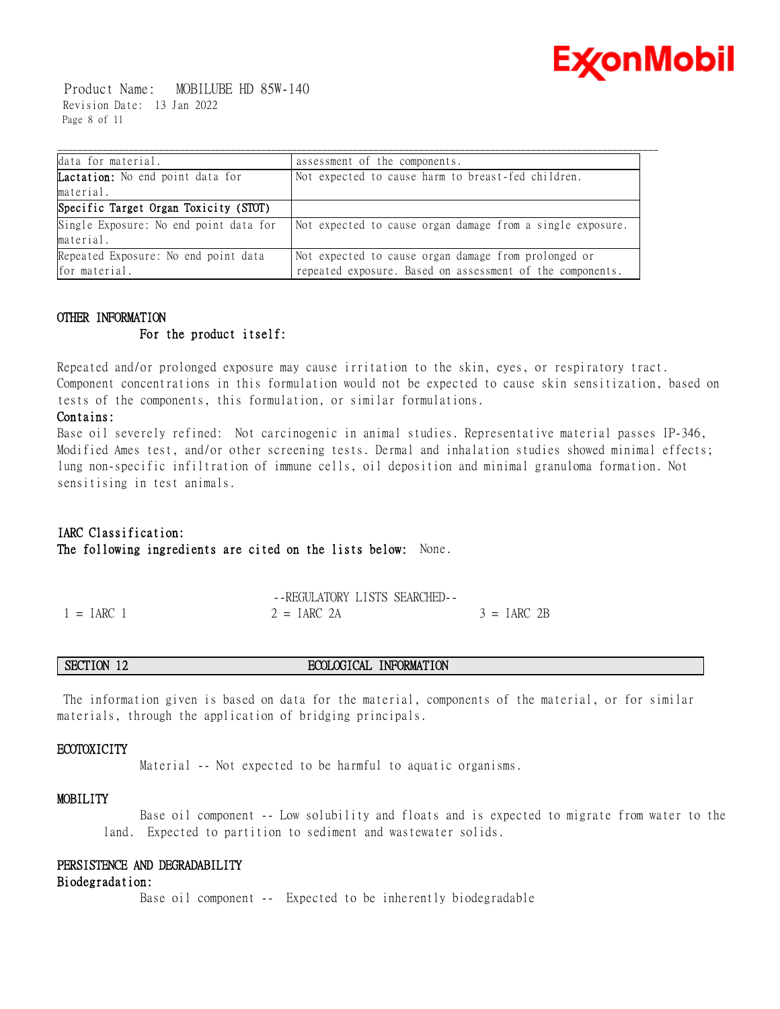

 Product Name: MOBILUBE HD 85W-140 Revision Date: 13 Jan 2022 Page 8 of 11

| data for material.                     | assessment of the components.                              |
|----------------------------------------|------------------------------------------------------------|
| Lactation: No end point data for       | Not expected to cause harm to breast-fed children.         |
| material.                              |                                                            |
| Specific Target Organ Toxicity (STOT)  |                                                            |
| Single Exposure: No end point data for | Not expected to cause organ damage from a single exposure. |
| material.                              |                                                            |
| Repeated Exposure: No end point data   | Not expected to cause organ damage from prolonged or       |
| for material.                          | repeated exposure. Based on assessment of the components.  |

## **OTHER INFORMATION For the product itself:**

Repeated and/or prolonged exposure may cause irritation to the skin, eyes, or respiratory tract. Component concentrations in this formulation would not be expected to cause skin sensitization, based on tests of the components, this formulation, or similar formulations.

### **Contains:**

Base oil severely refined: Not carcinogenic in animal studies. Representative material passes IP-346, Modified Ames test, and/or other screening tests. Dermal and inhalation studies showed minimal effects; lung non-specific infiltration of immune cells, oil deposition and minimal granuloma formation. Not sensitising in test animals.

### **IARC Classification: The following ingredients are cited on the lists below:** None.

|              | --REGULATORY LISTS SEARCHED- |               |
|--------------|------------------------------|---------------|
| $1 = IARC$ 1 | $2 = IARC$ 2A                | $3 = IARC$ 2B |

#### **SECTION 12 ECOLOGICAL INFORMATION**

The information given is based on data for the material, components of the material, or for similar materials, through the application of bridging principals.

#### **ECOTOXICITY**

Material -- Not expected to be harmful to aquatic organisms.

#### **MOBILITY**

 Base oil component -- Low solubility and floats and is expected to migrate from water to the land. Expected to partition to sediment and wastewater solids.

### **PERSISTENCE AND DEGRADABILITY**

### **Biodegradation:**

Base oil component -- Expected to be inherently biodegradable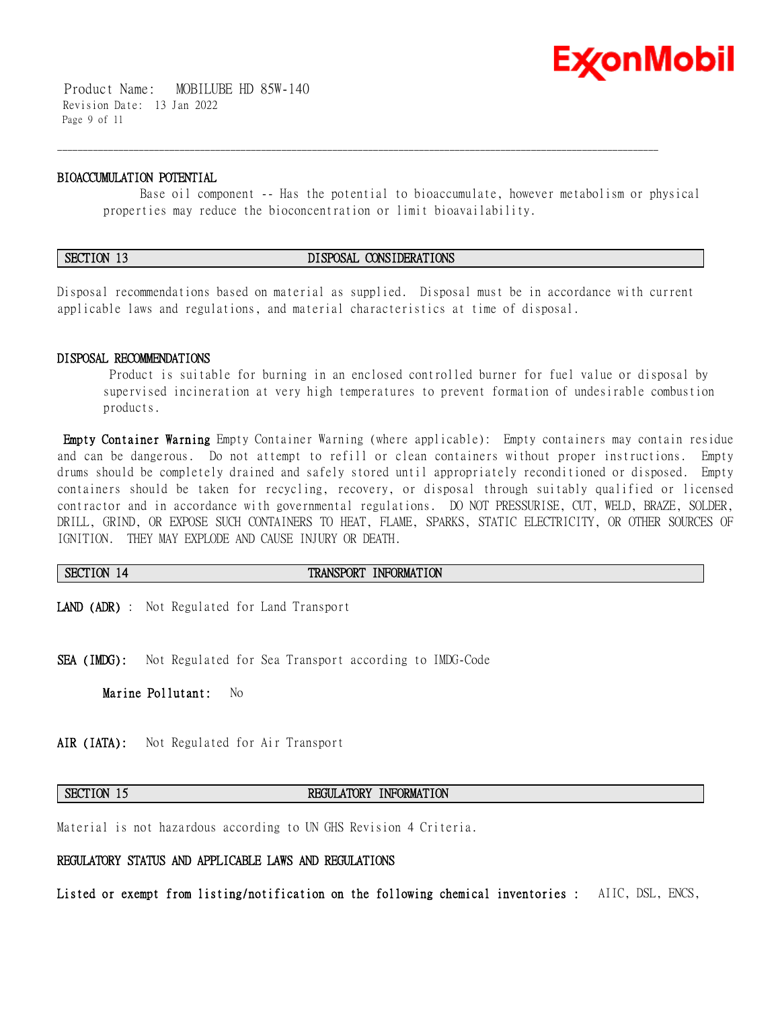

 Product Name: MOBILUBE HD 85W-140 Revision Date: 13 Jan 2022 Page 9 of 11

#### **BIOACCUMULATION POTENTIAL**

 Base oil component -- Has the potential to bioaccumulate, however metabolism or physical properties may reduce the bioconcentration or limit bioavailability.

#### **SECTION 13 DISPOSAL CONSIDERATIONS**

\_\_\_\_\_\_\_\_\_\_\_\_\_\_\_\_\_\_\_\_\_\_\_\_\_\_\_\_\_\_\_\_\_\_\_\_\_\_\_\_\_\_\_\_\_\_\_\_\_\_\_\_\_\_\_\_\_\_\_\_\_\_\_\_\_\_\_\_\_\_\_\_\_\_\_\_\_\_\_\_\_\_\_\_\_\_\_\_\_\_\_\_\_\_\_\_\_\_\_\_\_\_\_\_\_\_\_\_\_\_\_\_\_\_\_\_\_\_

Disposal recommendations based on material as supplied. Disposal must be in accordance with current applicable laws and regulations, and material characteristics at time of disposal.

### **DISPOSAL RECOMMENDATIONS**

Product is suitable for burning in an enclosed controlled burner for fuel value or disposal by supervised incineration at very high temperatures to prevent formation of undesirable combustion products.

**Empty Container Warning** Empty Container Warning (where applicable): Empty containers may contain residue and can be dangerous. Do not attempt to refill or clean containers without proper instructions. Empty drums should be completely drained and safely stored until appropriately reconditioned or disposed. Empty containers should be taken for recycling, recovery, or disposal through suitably qualified or licensed contractor and in accordance with governmental regulations. DO NOT PRESSURISE, CUT, WELD, BRAZE, SOLDER, DRILL, GRIND, OR EXPOSE SUCH CONTAINERS TO HEAT, FLAME, SPARKS, STATIC ELECTRICITY, OR OTHER SOURCES OF IGNITION. THEY MAY EXPLODE AND CAUSE INJURY OR DEATH.

| SECTION 14 | TRANSPORT INFORMATION                                |
|------------|------------------------------------------------------|
|            | <b>LAND (ADR)</b> : Not Regulated for Land Transport |

**SEA (IMDG):** Not Regulated for Sea Transport according to IMDG-Code

**Marine Pollutant:** No

**AIR (IATA):** Not Regulated for Air Transport

### **SECTION 15 REGULATORY INFORMATION**

Material is not hazardous according to UN GHS Revision 4 Criteria.

### **REGULATORY STATUS AND APPLICABLE LAWS AND REGULATIONS**

**Listed or exempt from listing/notification on the following chemical inventories :** AIIC, DSL, ENCS,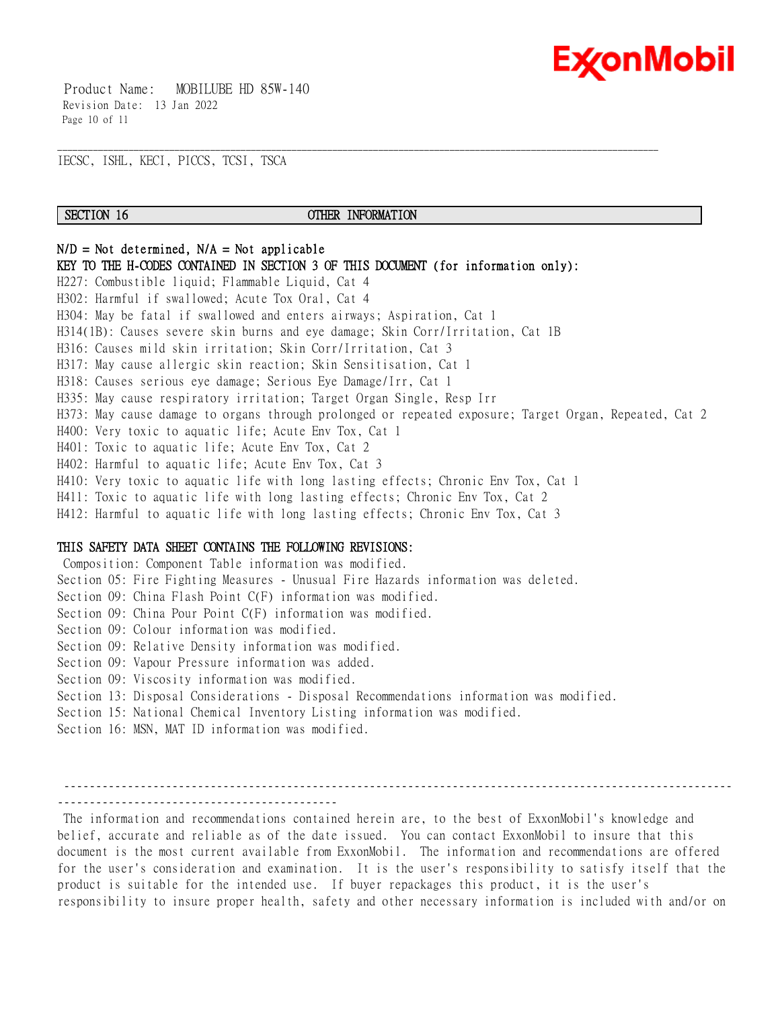

 Product Name: MOBILUBE HD 85W-140 Revision Date: 13 Jan 2022 Page 10 of 11

IECSC, ISHL, KECI, PICCS, TCSI, TSCA

#### **SECTION 16 OTHER INFORMATION**

\_\_\_\_\_\_\_\_\_\_\_\_\_\_\_\_\_\_\_\_\_\_\_\_\_\_\_\_\_\_\_\_\_\_\_\_\_\_\_\_\_\_\_\_\_\_\_\_\_\_\_\_\_\_\_\_\_\_\_\_\_\_\_\_\_\_\_\_\_\_\_\_\_\_\_\_\_\_\_\_\_\_\_\_\_\_\_\_\_\_\_\_\_\_\_\_\_\_\_\_\_\_\_\_\_\_\_\_\_\_\_\_\_\_\_\_\_\_

**N/D = Not determined, N/A = Not applicable KEY TO THE H-CODES CONTAINED IN SECTION 3 OF THIS DOCUMENT (for information only):** H227: Combustible liquid; Flammable Liquid, Cat 4 H302: Harmful if swallowed; Acute Tox Oral, Cat 4 H304: May be fatal if swallowed and enters airways; Aspiration, Cat 1 H314(1B): Causes severe skin burns and eye damage; Skin Corr/Irritation, Cat 1B H316: Causes mild skin irritation; Skin Corr/Irritation, Cat 3 H317: May cause allergic skin reaction; Skin Sensitisation, Cat 1 H318: Causes serious eye damage; Serious Eye Damage/Irr, Cat 1 H335: May cause respiratory irritation; Target Organ Single, Resp Irr H373: May cause damage to organs through prolonged or repeated exposure; Target Organ, Repeated, Cat 2 H400: Very toxic to aquatic life; Acute Env Tox, Cat 1 H401: Toxic to aquatic life; Acute Env Tox, Cat 2 H402: Harmful to aquatic life; Acute Env Tox, Cat 3 H410: Very toxic to aquatic life with long lasting effects; Chronic Env Tox, Cat 1 H411: Toxic to aquatic life with long lasting effects; Chronic Env Tox, Cat 2 H412: Harmful to aquatic life with long lasting effects; Chronic Env Tox, Cat 3

#### **THIS SAFETY DATA SHEET CONTAINS THE FOLLOWING REVISIONS:**

Composition: Component Table information was modified. Section 05: Fire Fighting Measures - Unusual Fire Hazards information was deleted. Section 09: China Flash Point C(F) information was modified. Section 09: China Pour Point C(F) information was modified. Section 09: Colour information was modified. Section 09: Relative Density information was modified. Section 09: Vapour Pressure information was added. Section 09: Viscosity information was modified. Section 13: Disposal Considerations - Disposal Recommendations information was modified. Section 15: National Chemical Inventory Listing information was modified. Section 16: MSN, MAT ID information was modified.

--------------------------------------------------------------------------------------------------------- --------------------------------------------

The information and recommendations contained herein are, to the best of ExxonMobil's knowledge and belief, accurate and reliable as of the date issued. You can contact ExxonMobil to insure that this document is the most current available from ExxonMobil. The information and recommendations are offered for the user's consideration and examination. It is the user's responsibility to satisfy itself that the product is suitable for the intended use. If buyer repackages this product, it is the user's responsibility to insure proper health, safety and other necessary information is included with and/or on